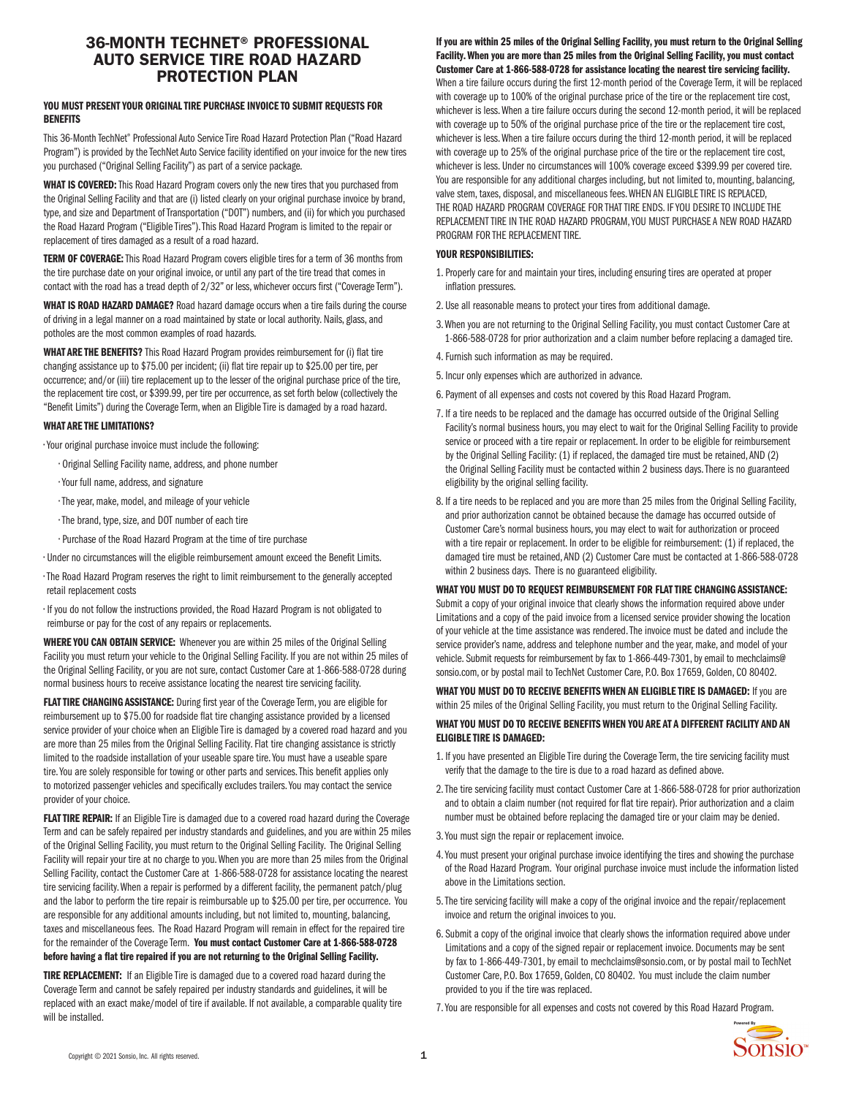# 36-MONTH TECHNET® PROFESSIONAL AUTO SERVICE TIRE ROAD HAZARD PROTECTION PLAN

#### YOU MUST PRESENT YOUR ORIGINAL TIRE PURCHASE INVOICE TO SUBMIT REQUESTS FOR **RENEFITS**

This 36-Month TechNet® Professional Auto Service Tire Road Hazard Protection Plan ("Road Hazard Program") is provided by the TechNet Auto Service facility identified on your invoice for the new tires you purchased ("Original Selling Facility") as part of a service package.

WHAT IS COVERED: This Road Hazard Program covers only the new tires that you purchased from the Original Selling Facility and that are (i) listed clearly on your original purchase invoice by brand, type, and size and Department of Transportation ("DOT") numbers, and (ii) for which you purchased the Road Hazard Program ("Eligible Tires"). This Road Hazard Program is limited to the repair or replacement of tires damaged as a result of a road hazard.

TERM OF COVERAGE: This Road Hazard Program covers eligible tires for a term of 36 months from the tire purchase date on your original invoice, or until any part of the tire tread that comes in contact with the road has a tread depth of 2/32" or less, whichever occurs first ("Coverage Term").

WHAT IS ROAD HAZARD DAMAGE? Road hazard damage occurs when a tire fails during the course of driving in a legal manner on a road maintained by state or local authority. Nails, glass, and potholes are the most common examples of road hazards.

WHAT ARE THE BENEFITS? This Road Hazard Program provides reimbursement for (i) flat tire changing assistance up to \$75.00 per incident; (ii) flat tire repair up to \$25.00 per tire, per occurrence; and/or (iii) tire replacement up to the lesser of the original purchase price of the tire, the replacement tire cost, or \$399.99, per tire per occurrence, as set forth below (collectively the "Benefit Limits") during the Coverage Term, when an Eligible Tire is damaged by a road hazard.

### WHAT ARE THE LIMITATIONS?

• Your original purchase invoice must include the following:

- Original Selling Facility name, address, and phone number
- Your full name, address, and signature
- The year, make, model, and mileage of your vehicle
- The brand, type, size, and DOT number of each tire
- Purchase of the Road Hazard Program at the time of tire purchase
- Under no circumstances will the eligible reimbursement amount exceed the Benefit Limits.
- The Road Hazard Program reserves the right to limit reimbursement to the generally accepted retail replacement costs

• If you do not follow the instructions provided, the Road Hazard Program is not obligated to reimburse or pay for the cost of any repairs or replacements.

WHERE YOU CAN OBTAIN SERVICE: Whenever you are within 25 miles of the Original Selling Facility you must return your vehicle to the Original Selling Facility. If you are not within 25 miles of the Original Selling Facility, or you are not sure, contact Customer Care at 1-866-588-0728 during normal business hours to receive assistance locating the nearest tire servicing facility.

FLAT TIRE CHANGING ASSISTANCE: During first year of the Coverage Term, you are eligible for reimbursement up to \$75.00 for roadside flat tire changing assistance provided by a licensed service provider of your choice when an Eligible Tire is damaged by a covered road hazard and you are more than 25 miles from the Original Selling Facility. Flat tire changing assistance is strictly limited to the roadside installation of your useable spare tire. You must have a useable spare tire. You are solely responsible for towing or other parts and services. This benefit applies only to motorized passenger vehicles and specifically excludes trailers. You may contact the service provider of your choice.

FLAT TIRE REPAIR: If an Eligible Tire is damaged due to a covered road hazard during the Coverage Term and can be safely repaired per industry standards and guidelines, and you are within 25 miles of the Original Selling Facility, you must return to the Original Selling Facility. The Original Selling Facility will repair your tire at no charge to you. When you are more than 25 miles from the Original Selling Facility, contact the Customer Care at 1-866-588-0728 for assistance locating the nearest tire servicing facility. When a repair is performed by a different facility, the permanent patch/plug and the labor to perform the tire repair is reimbursable up to \$25.00 per tire, per occurrence. You are responsible for any additional amounts including, but not limited to, mounting, balancing, taxes and miscellaneous fees. The Road Hazard Program will remain in effect for the repaired tire for the remainder of the Coverage Term. You must contact Customer Care at 1-866-588-0728 before having a flat tire repaired if you are not returning to the Original Selling Facility.

TIRE REPLACEMENT: If an Eligible Tire is damaged due to a covered road hazard during the Coverage Term and cannot be safely repaired per industry standards and guidelines, it will be replaced with an exact make/model of tire if available. If not available, a comparable quality tire will be installed.

### If you are within 25 miles of the Original Selling Facility, you must return to the Original Selling Facility. When you are more than 25 miles from the Original Selling Facility, you must contact Customer Care at 1-866-588-0728 for assistance locating the nearest tire servicing facility.

When a tire failure occurs during the first 12-month period of the Coverage Term, it will be replaced with coverage up to 100% of the original purchase price of the tire or the replacement tire cost, whichever is less. When a tire failure occurs during the second 12-month period, it will be replaced with coverage up to 50% of the original purchase price of the tire or the replacement tire cost, whichever is less. When a tire failure occurs during the third 12-month period, it will be replaced with coverage up to 25% of the original purchase price of the tire or the replacement tire cost, whichever is less. Under no circumstances will 100% coverage exceed \$399.99 per covered tire. You are responsible for any additional charges including, but not limited to, mounting, balancing, valve stem, taxes, disposal, and miscellaneous fees. WHEN AN ELIGIBLE TIRE IS REPLACED, THE ROAD HAZARD PROGRAM COVERAGE FOR THAT TIRE ENDS. IF YOU DESIRE TO INCLUDE THE REPLACEMENT TIRE IN THE ROAD HAZARD PROGRAM, YOU MUST PURCHASE A NEW ROAD HAZARD PROGRAM FOR THE REPLACEMENT TIRE.

#### YOUR RESPONSIBILITIES:

- 1. Properly care for and maintain your tires, including ensuring tires are operated at proper inflation pressures.
- 2. Use all reasonable means to protect your tires from additional damage.
- 3. When you are not returning to the Original Selling Facility, you must contact Customer Care at 1-866-588-0728 for prior authorization and a claim number before replacing a damaged tire.
- 4. Furnish such information as may be required.
- 5. Incur only expenses which are authorized in advance.
- 6. Payment of all expenses and costs not covered by this Road Hazard Program.
- 7. If a tire needs to be replaced and the damage has occurred outside of the Original Selling Facility's normal business hours, you may elect to wait for the Original Selling Facility to provide service or proceed with a tire repair or replacement. In order to be eligible for reimbursement by the Original Selling Facility: (1) if replaced, the damaged tire must be retained, AND (2) the Original Selling Facility must be contacted within 2 business days. There is no guaranteed eligibility by the original selling facility.
- 8. If a tire needs to be replaced and you are more than 25 miles from the Original Selling Facility, and prior authorization cannot be obtained because the damage has occurred outside of Customer Care's normal business hours, you may elect to wait for authorization or proceed with a tire repair or replacement. In order to be eligible for reimbursement: (1) if replaced, the damaged tire must be retained, AND (2) Customer Care must be contacted at 1-866-588-0728 within 2 business days. There is no guaranteed eligibility.

WHAT YOU MUST DO TO REOUEST REIMBURSEMENT FOR FLAT TIRE CHANGING ASSISTANCE: Submit a copy of your original invoice that clearly shows the information required above under Limitations and a copy of the paid invoice from a licensed service provider showing the location of your vehicle at the time assistance was rendered. The invoice must be dated and include the service provider's name, address and telephone number and the year, make, and model of your vehicle. Submit requests for reimbursement by fax to 1-866-449-7301, by email to mechclaims@ sonsio.com, or by postal mail to TechNet Customer Care, P.O. Box 17659, Golden, CO 80402.

WHAT YOU MUST DO TO RECEIVE BENEFITS WHEN AN ELIGIBLE TIRE IS DAMAGED: If you are within 25 miles of the Original Selling Facility, you must return to the Original Selling Facility.

# WHAT YOU MUST DO TO RECEIVE BENEFITS WHEN YOU ARE AT A DIFFERENT FACILITY AND AN ELIGIBLE TIRE IS DAMAGED:

- 1. If you have presented an Eligible Tire during the Coverage Term, the tire servicing facility must verify that the damage to the tire is due to a road hazard as defined above.
- 2. The tire servicing facility must contact Customer Care at 1-866-588-0728 for prior authorization and to obtain a claim number (not required for flat tire repair). Prior authorization and a claim number must be obtained before replacing the damaged tire or your claim may be denied.
- 3. You must sign the repair or replacement invoice.
- 4. You must present your original purchase invoice identifying the tires and showing the purchase of the Road Hazard Program. Your original purchase invoice must include the information listed above in the Limitations section.
- 5. The tire servicing facility will make a copy of the original invoice and the repair/replacement invoice and return the original invoices to you.
- 6. Submit a copy of the original invoice that clearly shows the information required above under Limitations and a copy of the signed repair or replacement invoice. Documents may be sent by fax to 1-866-449-7301, by email to mechclaims@sonsio.com, or by postal mail to TechNet Customer Care, P.O. Box 17659, Golden, CO 80402. You must include the claim number provided to you if the tire was replaced.
- 7. You are responsible for all expenses and costs not covered by this Road Hazard Program.